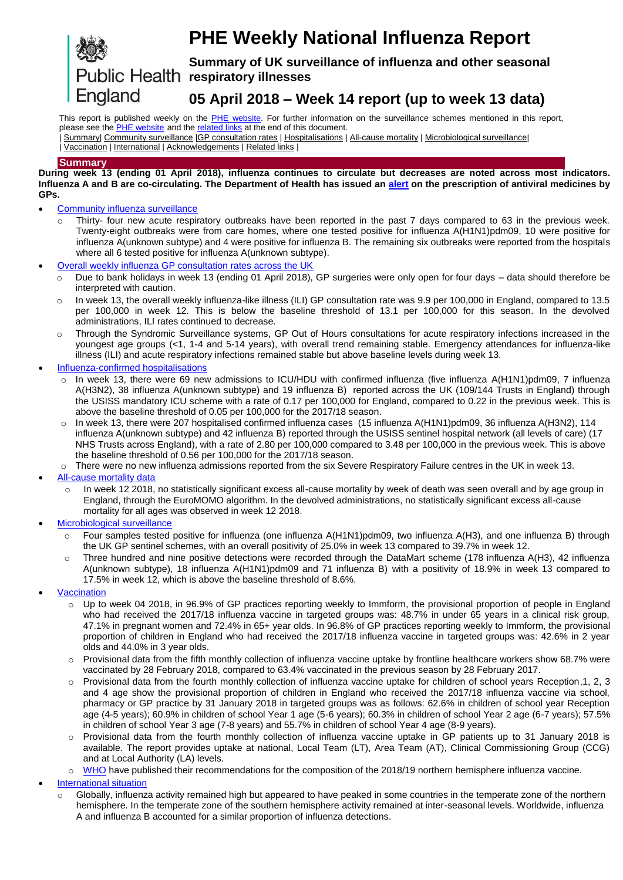# England

## **PHE Weekly National Influenza Report**

**Summary of UK surveillance of influenza and other seasonal**  Public Health respiratory illnesses

## **05 April 2018 – Week 14 report (up to week 13 data)**

<span id="page-0-1"></span>This report is published weekly on the PHE [website.](https://www.gov.uk/government/publications/weekly-national-flu-reports) For further information on the surveillance schemes mentioned in this report, please see the **PHE** [website](https://www.gov.uk/sources-of-uk-flu-data-influenza-surveillance-in-the-uk) and th[e related links](#page-12-0) at the end of this document.

| [Summary|](#page-0-0) [Community surveillance](#page-1-0) [|GP consultation rates](#page-2-0) | [Hospitalisations](#page-3-0) [| All-cause mortality](#page-5-0) [| Microbiological surveillance|](#page-6-0)

| [Vaccination](#page-7-0) | [International](#page-9-0) | [Acknowledgements](#page-12-1) [| Related links](#page-12-0) |

#### <span id="page-0-0"></span>**Summary**

**During week 13 (ending 01 April 2018), influenza continues to circulate but decreases are noted across most indicators. Influenza A and B are co-circulating. The Department of Health has issued an [alert](https://www.cas.dh.gov.uk/ViewandAcknowledgment/ViewAlert.aspx?AlertID=102685) on the prescription of antiviral medicines by GPs.**

- [Community influenza surveillance](#page-1-0)
	- o Thirty- four new acute respiratory outbreaks have been reported in the past 7 days compared to 63 in the previous week. Twenty-eight outbreaks were from care homes, where one tested positive for influenza A(H1N1)pdm09, 10 were positive for influenza A(unknown subtype) and 4 were positive for influenza B. The remaining six outbreaks were reported from the hospitals where all 6 tested positive for influenza A(unknown subtype).
- [Overall weekly influenza GP consultation rates across the UK](#page-2-0)
	- o Due to bank holidays in week 13 (ending 01 April 2018), GP surgeries were only open for four days data should therefore be interpreted with caution.
	- o In week 13, the overall weekly influenza-like illness (ILI) GP consultation rate was 9.9 per 100,000 in England, compared to 13.5 per 100,000 in week 12. This is below the baseline threshold of 13.1 per 100,000 for this season. In the devolved administrations, ILI rates continued to decrease.
	- o Through the Syndromic Surveillance systems, GP Out of Hours consultations for acute respiratory infections increased in the youngest age groups (<1, 1-4 and 5-14 years), with overall trend remaining stable. Emergency attendances for influenza-like illness (ILI) and acute respiratory infections remained stable but above baseline levels during week 13.
- [Influenza-confirmed hospitalisations](#page-3-0)
	- In week 13, there were 69 new admissions to ICU/HDU with confirmed influenza (five influenza A(H1N1)pdm09, 7 influenza A(H3N2), 38 influenza A(unknown subtype) and 19 influenza B) reported across the UK (109/144 Trusts in England) through the USISS mandatory ICU scheme with a rate of 0.17 per 100,000 for England, compared to 0.22 in the previous week. This is above the baseline threshold of 0.05 per 100,000 for the 2017/18 season.
	- o In week 13, there were 207 hospitalised confirmed influenza cases (15 influenza A(H1N1)pdm09, 36 influenza A(H3N2), 114 influenza A(unknown subtype) and 42 influenza B) reported through the USISS sentinel hospital network (all levels of care) (17 NHS Trusts across England), with a rate of 2.80 per 100,000 compared to 3.48 per 100,000 in the previous week. This is above the baseline threshold of 0.56 per 100,000 for the 2017/18 season.
	- $\circ$  There were no new influenza admissions reported from the six Severe Respiratory Failure centres in the UK in week 13.
- [All-cause mortality data](#page-5-0)
	- $\circ$  In week 12 2018, no statistically significant excess all-cause mortality by week of death was seen overall and by age group in England, through the EuroMOMO algorithm. In the devolved administrations, no statistically significant excess all-cause mortality for all ages was observed in week 12 2018.
- [Microbiological surveillance](#page-6-0)
	- o Four samples tested positive for influenza (one influenza A(H1N1)pdm09, two influenza A(H3), and one influenza B) through the UK GP sentinel schemes, with an overall positivity of 25.0% in week 13 compared to 39.7% in week 12.
	- o Three hundred and nine positive detections were recorded through the DataMart scheme (178 influenza A(H3), 42 influenza A(unknown subtype), 18 influenza A(H1N1)pdm09 and 71 influenza B) with a positivity of 18.9% in week 13 compared to 17.5% in week 12, which is above the baseline threshold of 8.6%.
- **[Vaccination](#page-7-0)** 
	- $\circ$  Up to week 04 2018, in 96.9% of GP practices reporting weekly to Immform, the provisional proportion of people in England who had received the 2017/18 influenza vaccine in targeted groups was: 48.7% in under 65 years in a clinical risk group, 47.1% in pregnant women and 72.4% in 65+ year olds. In 96.8% of GP practices reporting weekly to Immform, the provisional proportion of children in England who had received the 2017/18 influenza vaccine in targeted groups was: 42.6% in 2 year olds and 44.0% in 3 year olds.
	- o Provisional data from the fifth monthly collection of influenza vaccine uptake by frontline healthcare workers show 68.7% were vaccinated by 28 February 2018, compared to 63.4% vaccinated in the previous season by 28 February 2017.
	- $\circ$  Provisional data from the fourth monthly collection of influenza vaccine uptake for children of school years Reception, 1, 2, 3 and 4 age show the provisional proportion of children in England who received the 2017/18 influenza vaccine via school, pharmacy or GP practice by 31 January 2018 in targeted groups was as follows: 62.6% in children of school year Reception age (4-5 years); 60.9% in children of school Year 1 age (5-6 years); 60.3% in children of school Year 2 age (6-7 years); 57.5% in children of school Year 3 age (7-8 years) and 55.7% in children of school Year 4 age (8-9 years).
	- o Provisional data from the fourth monthly collection of influenza vaccine uptake in GP patients up to 31 January 2018 is available. The report provides uptake at national, Local Team (LT), Area Team (AT), Clinical Commissioning Group (CCG) and at Local Authority (LA) levels.
	- o [WHO](http://www.who.int/influenza/vaccines/virus/recommendations/2018_19_north/en/) have published their recommendations for the composition of the 2018/19 northern hemisphere influenza vaccine.
- [International situation](#page-9-0)
	- o Globally, influenza activity remained high but appeared to have peaked in some countries in the temperate zone of the northern hemisphere. In the temperate zone of the southern hemisphere activity remained at inter-seasonal levels. Worldwide, influenza A and influenza B accounted for a similar proportion of influenza detections.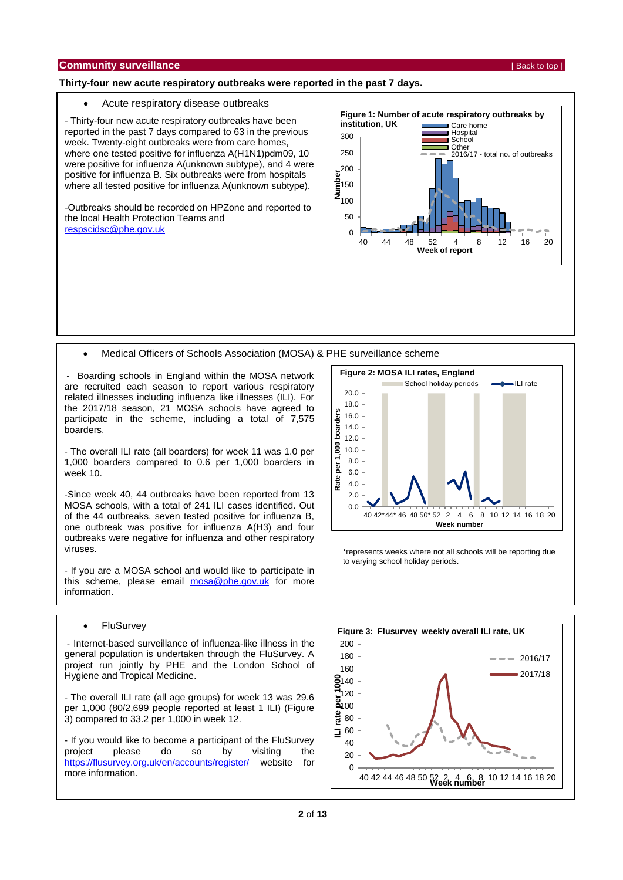#### <span id="page-1-0"></span>**Thirty-four new acute respiratory outbreaks were reported in the past 7 days.**

#### Acute respiratory disease outbreaks

- Thirty-four new acute respiratory outbreaks have been reported in the past 7 days compared to 63 in the previous week. Twenty-eight outbreaks were from care homes, where one tested positive for influenza A(H1N1)pdm09, 10 were positive for influenza A(unknown subtype), and 4 were positive for influenza B. Six outbreaks were from hospitals where all tested positive for influenza A(unknown subtype).

-Outbreaks should be recorded on HPZone and reported to the local Health Protection Teams and [respscidsc@phe.gov.uk](mailto:respscidsc@phe.gov.uk)



Medical Officers of Schools Association (MOSA) & PHE surveillance scheme

- Boarding schools in England within the MOSA network are recruited each season to report various respiratory related illnesses including influenza like illnesses (ILI). For the 2017/18 season, 21 MOSA schools have agreed to participate in the scheme, including a total of 7,575 boarders.

- The overall ILI rate (all boarders) for week 11 was 1.0 per 1,000 boarders compared to 0.6 per 1,000 boarders in week 10.

-Since week 40, 44 outbreaks have been reported from 13 MOSA schools, with a total of 241 ILI cases identified. Out of the 44 outbreaks, seven tested positive for influenza B, one outbreak was positive for influenza A(H3) and four outbreaks were negative for influenza and other respiratory viruses.

- If you are a MOSA school and would like to participate in this scheme, please email [mosa@phe.gov.uk](mailto:mosa@phe.gov.uk) for more information.



\*represents weeks where not all schools will be reporting due to varying school holiday periods.

#### • FluSurvey

- Internet-based surveillance of influenza-like illness in the general population is undertaken through the FluSurvey. A project run jointly by PHE and the London School of Hygiene and Tropical Medicine.

- The overall ILI rate (all age groups) for week 13 was 29.6 per 1,000 (80/2,699 people reported at least 1 ILI) (Figure 3) compared to 33.2 per 1,000 in week 12.

- If you would like to become a participant of the FluSurvey project please do so by visiting the <https://flusurvey.org.uk/en/accounts/register/> website for more information.

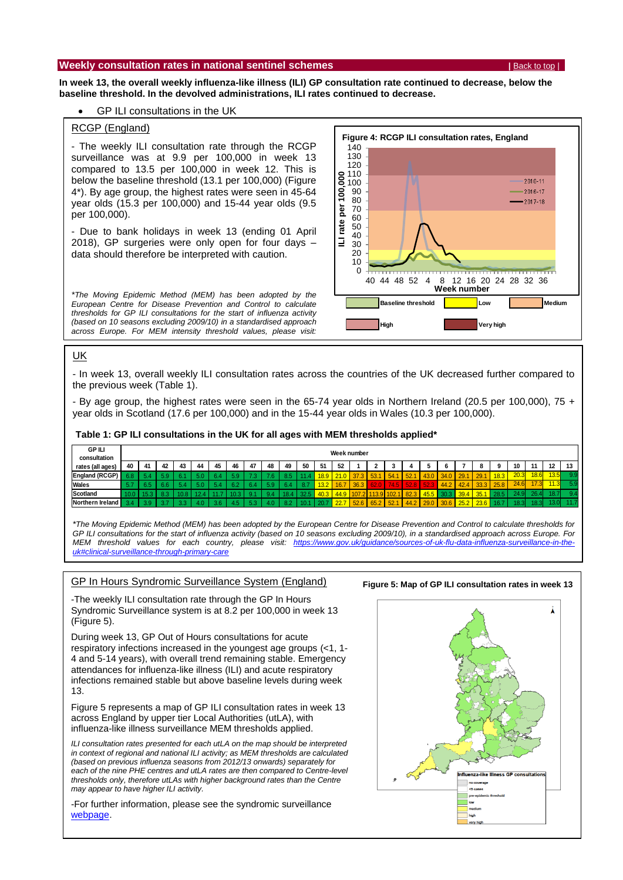#### <span id="page-2-0"></span>**Weekly consultation rates in national sentinel schemes <b>EXALL THEORY CONSUMING THEORY IS A PARTICLE TO A PACK TO THE SCHEME ISSUED**

**In week 13, the overall weekly influenza-like illness (ILI) GP consultation rate continued to decrease, below the baseline threshold. In the devolved administrations, ILI rates continued to decrease.**

#### GP ILI consultations in the UK

#### RCGP (England)

- The weekly ILI consultation rate through the RCGP surveillance was at 9.9 per 100,000 in week 13 compared to 13.5 per 100,000 in week 12. This is below the baseline threshold (13.1 per 100,000) (Figure 4\*). By age group, the highest rates were seen in 45-64 year olds (15.3 per 100,000) and 15-44 year olds (9.5 per 100,000).

- Due to bank holidays in week 13 (ending 01 April 2018), GP surgeries were only open for four days – data should therefore be interpreted with caution.

*\*The Moving Epidemic Method (MEM) has been adopted by the European Centre for Disease Prevention and Control to calculate thresholds for GP ILI consultations for the start of influenza activity (based on 10 seasons excluding 2009/10) in a standardised approach across Europe. For MEM intensity threshold values, please visit:* 

*[https://www.gov.uk/guidance/sources-of-uk-flu-data-influenza-](https://www.gov.uk/guidance/sources-of-uk-flu-data-influenza-surveillance-in-the-uk#clinical-surveillance-through-primary-care)*



#### *[surveillance-in-the-uk#clinical-surveillance-through-primary-care](https://www.gov.uk/guidance/sources-of-uk-flu-data-influenza-surveillance-in-the-uk#clinical-surveillance-through-primary-care)* UK

- In week 13, overall weekly ILI consultation rates across the countries of the UK decreased further compared to the previous week (Table 1).

- By age group, the highest rates were seen in the 65-74 year olds in Northern Ireland (20.5 per 100,000), 75 + year olds in Scotland (17.6 per 100,000) and in the 15-44 year olds in Wales (10.3 per 100,000).

#### **Table 1: GP ILI consultations in the UK for all ages with MEM thresholds applied\***

| <b>GP ILI</b><br>consultation | Week number                                         |      |    |    |    |    |    |    |    |     |      |      |         |       |              |           |      |      |      |      |      |      |        |      |      |    |
|-------------------------------|-----------------------------------------------------|------|----|----|----|----|----|----|----|-----|------|------|---------|-------|--------------|-----------|------|------|------|------|------|------|--------|------|------|----|
| rates (all ages)              | 40                                                  | -41  | 42 | 43 | 44 | 45 | 46 | 47 | 48 | 49  | 50   | -51  | 52      |       |              |           |      |      |      |      |      | n    | 10     | 44   | 12   | 13 |
| IEngland (RCGP)               | 6.8                                                 |      |    |    |    |    |    |    |    |     |      | 18.9 | 21.0    | 37.3  | 53.1         | 154.1     | 52.  | 43.0 | 34.0 | 29.1 | 29.1 | 18.3 | 20.3   | 18.6 | 13.5 |    |
| Wales                         |                                                     |      |    |    |    |    |    |    |    |     |      |      | $-16.7$ | 36.3  | <b>\62.0</b> | (74.5)    | 52.8 | 52.  | 44.2 | 42.4 | 33.3 | 25.8 | 24.6   | 17.3 |      |    |
| Scotland                      |                                                     |      |    |    |    |    |    |    |    |     | 32.5 | 40.3 | 44.9    | 107.2 |              | 13.9 102. | 82.3 | 45.5 | 30.3 | 39.4 | 35.1 |      |        | 26.4 | io f |    |
| Northern Ireland              | $\overline{\phantom{a}}$ 2 $\overline{\phantom{a}}$ | - 20 |    |    |    |    |    |    |    | n o |      |      | 22.7    | 52.6  | 65.2         | 52.1      | 44.2 | 29.0 | 30.6 | 25.2 | 23.6 |      | ' R २। | 18.3 |      |    |

*\*The Moving Epidemic Method (MEM) has been adopted by the European Centre for Disease Prevention and Control to calculate thresholds for GP ILI consultations for the start of influenza activity (based on 10 seasons excluding 2009/10), in a standardised approach across Europe. For*  MEM threshold values for each country, please visit: [https://www.gov.uk/guidance/sources-of-uk-flu-data-influenza-surveillance-in-the](https://www.gov.uk/guidance/sources-of-uk-flu-data-influenza-surveillance-in-the-uk#clinical-surveillance-through-primary-care)*[uk#clinical-surveillance-through-primary-care](https://www.gov.uk/guidance/sources-of-uk-flu-data-influenza-surveillance-in-the-uk#clinical-surveillance-through-primary-care)*

#### GP In Hours Syndromic Surveillance System (England)

-The weekly ILI consultation rate through the GP In Hours Syndromic Surveillance system is at 8.2 per 100,000 in week 13 (Figure 5).

During week 13, GP Out of Hours consultations for acute respiratory infections increased in the youngest age groups (<1, 1- 4 and 5-14 years), with overall trend remaining stable. Emergency attendances for influenza-like illness (ILI) and acute respiratory infections remained stable but above baseline levels during week 13.

Figure 5 represents a map of GP ILI consultation rates in week 13 across England by upper tier Local Authorities (utLA), with influenza-like illness surveillance MEM thresholds applied.

*ILI consultation rates presented for each utLA on the map should be interpreted in context of regional and national ILI activity; as MEM thresholds are calculated (based on previous influenza seasons from 2012/13 onwards) separately for each of the nine PHE centres and utLA rates are then compared to Centre-level thresholds only, therefore utLAs with higher background rates than the Centre may appear to have higher ILI activity.* 

-For further information, please see the syndromic surveillance [webpage.](https://www.gov.uk/government/publications/gp-in-hours-bulletin)

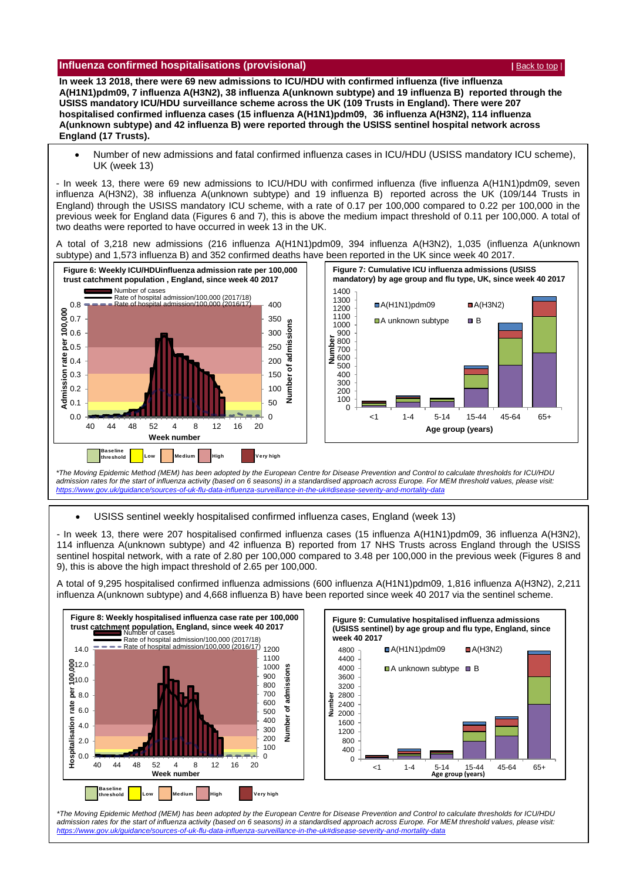#### <span id="page-3-0"></span>**Influenza confirmed hospitalisations (provisional) <b>According to the CONFIGUATION**  $\left| \frac{\text{Back to top}}{\text{Back to top}} \right|$  $\left| \frac{\text{Back to top}}{\text{Back to top}} \right|$  $\left| \frac{\text{Back to top}}{\text{Back to top}} \right|$

**In week 13 2018, there were 69 new admissions to ICU/HDU with confirmed influenza (five influenza A(H1N1)pdm09, 7 influenza A(H3N2), 38 influenza A(unknown subtype) and 19 influenza B) reported through the USISS mandatory ICU/HDU surveillance scheme across the UK (109 Trusts in England). There were 207 hospitalised confirmed influenza cases (15 influenza A(H1N1)pdm09, 36 influenza A(H3N2), 114 influenza A(unknown subtype) and 42 influenza B) were reported through the USISS sentinel hospital network across England (17 Trusts).**

 Number of new admissions and fatal confirmed influenza cases in ICU/HDU (USISS mandatory ICU scheme), UK (week 13)

- In week 13, there were 69 new admissions to ICU/HDU with confirmed influenza (five influenza A(H1N1)pdm09, seven influenza A(H3N2), 38 influenza A(unknown subtype) and 19 influenza B) reported across the UK (109/144 Trusts in England) through the USISS mandatory ICU scheme, with a rate of 0.17 per 100,000 compared to 0.22 per 100,000 in the previous week for England data (Figures 6 and 7), this is above the medium impact threshold of 0.11 per 100,000. A total of two deaths were reported to have occurred in week 13 in the UK.

A total of 3,218 new admissions (216 influenza A(H1N1)pdm09, 394 influenza A(H3N2), 1,035 (influenza A(unknown subtype) and 1,573 influenza B) and 352 confirmed deaths have been reported in the UK since week 40 2017.



*\*The Moving Epidemic Method (MEM) has been adopted by the European Centre for Disease Prevention and Control to calculate thresholds for ICU/HDU*  admission rates for the start of influenza activity (based on 6 seasons) in a standardised approach across Europe. For MEM threshold values, please visit:<br>https://www.gov.uk/guidance/sources-of-uk-flu-data-influenza-survei *https://www.gov.uk/guidance/sources-of-uk-flu-data-influ* 

USISS sentinel weekly hospitalised confirmed influenza cases, England (week 13)

- In week 13, there were 207 hospitalised confirmed influenza cases (15 influenza A(H1N1)pdm09, 36 influenza A(H3N2), 114 influenza A(unknown subtype) and 42 influenza B) reported from 17 NHS Trusts across England through the USISS sentinel hospital network, with a rate of 2.80 per 100,000 compared to 3.48 per 100,000 in the previous week (Figures 8 and 9), this is above the high impact threshold of 2.65 per 100,000.

A total of 9,295 hospitalised confirmed influenza admissions (600 influenza A(H1N1)pdm09, 1,816 influenza A(H3N2), 2,211 influenza A(unknown subtype) and 4,668 influenza B) have been reported since week 40 2017 via the sentinel scheme.





\*The Moving Epidemic Method (MEM) has been adopted by the European Centre for Disease Prevention and Control to calculate thresholds for ICU/HDU *admission rates for the start of influenza activity (based on 6 seasons) in a standardised approach across Europe. For MEM threshold values, please visit: <https://www.gov.uk/guidance/sources-of-uk-flu-data-influenza-surveillance-in-the-uk#disease-severity-and-mortality-data>*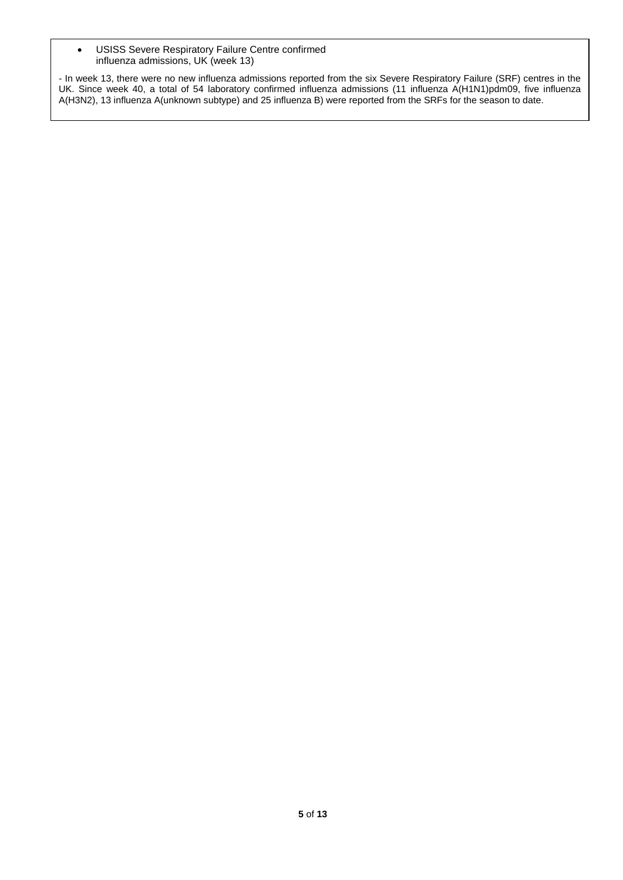USISS Severe Respiratory Failure Centre confirmed influenza admissions, UK (week 13)

- In week 13, there were no new influenza admissions reported from the six Severe Respiratory Failure (SRF) centres in the UK. Since week 40, a total of 54 laboratory confirmed influenza admissions (11 influenza A(H1N1)pdm09, five influenza A(H3N2), 13 influenza A(unknown subtype) and 25 influenza B) were reported from the SRFs for the season to date.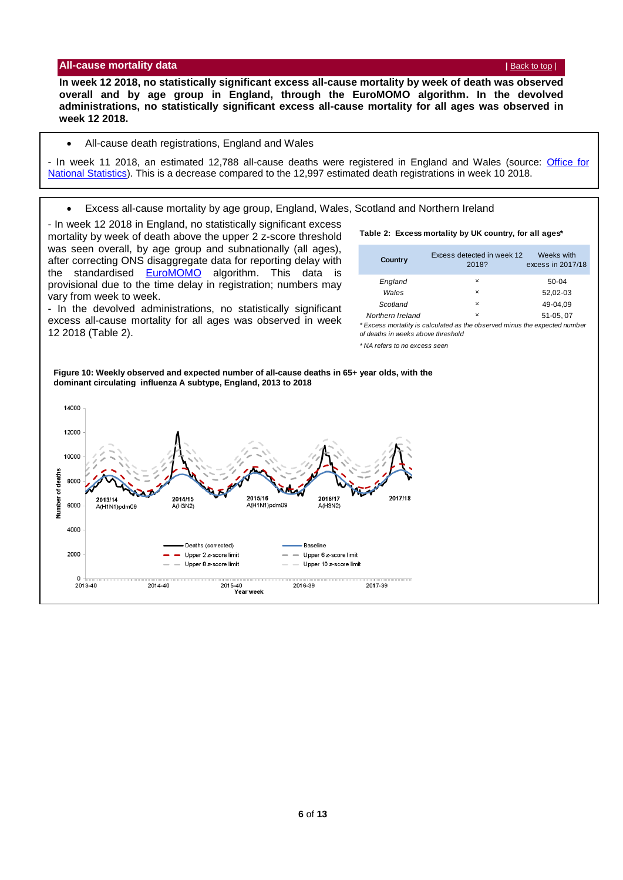#### <span id="page-5-0"></span>**All-cause mortality data by the cause of the cause of the cause of the cause of the cause of the cause of the cause of the cause of the cause of the cause of the cause of the cause of the cause of the cause of the cause**

**In week 12 2018, no statistically significant excess all-cause mortality by week of death was observed overall and by age group in England, through the EuroMOMO algorithm. In the devolved administrations, no statistically significant excess all-cause mortality for all ages was observed in week 12 2018.**

#### All-cause death registrations, England and Wales

- In week 11 2018, an estimated 12,788 all-cause deaths were registered in England and Wales (source: [Office for](http://www.ons.gov.uk/peoplepopulationandcommunity/birthsdeathsandmarriages/deaths/datasets/weeklyprovisionalfiguresondeathsregisteredinenglandandwales)  [National Statistics\)](http://www.ons.gov.uk/peoplepopulationandcommunity/birthsdeathsandmarriages/deaths/datasets/weeklyprovisionalfiguresondeathsregisteredinenglandandwales). This is a decrease compared to the 12,997 estimated death registrations in week 10 2018.

Excess all-cause mortality by age group, England, Wales, Scotland and Northern Ireland

- In week 12 2018 in England, no statistically significant excess mortality by week of death above the upper 2 z-score threshold was seen overall, by age group and subnationally (all ages), after correcting ONS disaggregate data for reporting delay with the standardised [EuroMOMO](http://www.euromomo.eu/) algorithm. This data is provisional due to the time delay in registration; numbers may vary from week to week.

- In the devolved administrations, no statistically significant excess all-cause mortality for all ages was observed in week 12 2018 (Table 2).

#### **Table 2: Excess mortality by UK country, for all ages\***

| <b>Country</b>   | Excess detected in week 12<br>2018? | Weeks with<br>excess in 2017/18 |
|------------------|-------------------------------------|---------------------------------|
| England          | $\times$                            | $50-04$                         |
| Wales            | $\times$                            | 52,02-03                        |
| Scotland         | $\times$                            | 49-04.09                        |
| Northern Ireland | $\times$                            | 51-05.07                        |

*\* Excess mortality is calculated as the observed minus the expected number of deaths in weeks above threshold* 

*\* NA refers to no excess seen*

**Figure 10: Weekly observed and expected number of all-cause deaths in 65+ year olds, with the dominant circulating influenza A subtype, England, 2013 to 2018**

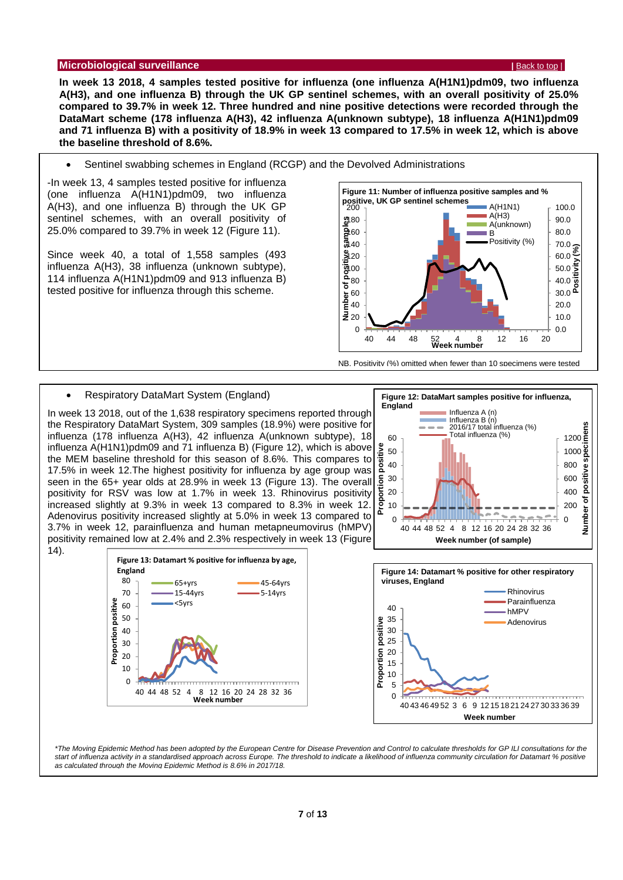#### <span id="page-6-0"></span>**Microbiological surveillance |** [Back to top](#page-0-1) |

**In week 13 2018, 4 samples tested positive for influenza (one influenza A(H1N1)pdm09, two influenza A(H3), and one influenza B) through the UK GP sentinel schemes, with an overall positivity of 25.0% compared to 39.7% in week 12. Three hundred and nine positive detections were recorded through the DataMart scheme (178 influenza A(H3), 42 influenza A(unknown subtype), 18 influenza A(H1N1)pdm09 and 71 influenza B) with a positivity of 18.9% in week 13 compared to 17.5% in week 12, which is above the baseline threshold of 8.6%.**

Sentinel swabbing schemes in England (RCGP) and the Devolved Administrations

-In week 13, 4 samples tested positive for influenza (one influenza A(H1N1)pdm09, two influenza A(H3), and one influenza B) through the UK GP sentinel schemes, with an overall positivity of 25.0% compared to 39.7% in week 12 (Figure 11).

Since week 40, a total of 1,558 samples (493 influenza A(H3), 38 influenza (unknown subtype), 114 influenza A(H1N1)pdm09 and 913 influenza B) tested positive for influenza through this scheme.



NB. Positivity (%) omitted when fewer than 10 specimens were tested

#### Respiratory DataMart System (England)

In week 13 2018, out of the 1,638 respiratory specimens reported through the Respiratory DataMart System, 309 samples (18.9%) were positive for influenza (178 influenza A(H3), 42 influenza A(unknown subtype), 18 influenza A(H1N1)pdm09 and 71 influenza B) (Figure 12), which is above the MEM baseline threshold for this season of 8.6%. This compares to 17.5% in week 12.The highest positivity for influenza by age group was seen in the 65+ year olds at 28.9% in week 13 (Figure 13). The overall positivity for RSV was low at 1.7% in week 13. Rhinovirus positivity increased slightly at 9.3% in week 13 compared to 8.3% in week 12. Adenovirus positivity increased slightly at 5.0% in week 13 compared to 3.7% in week 12, parainfluenza and human metapneumovirus (hMPV) positivity remained low at 2.4% and 2.3% respectively in week 13 (Figure 14).





*\*The Moving Epidemic Method has been adopted by the European Centre for Disease Prevention and Control to calculate thresholds for GP ILI consultations for the*  start of influenza activity in a standardised approach across Europe. The threshold to indicate a likelihood of influenza community circulation for Datamart % positive *as calculated through the Moving Epidemic Method is 8.6% in 2017/18.*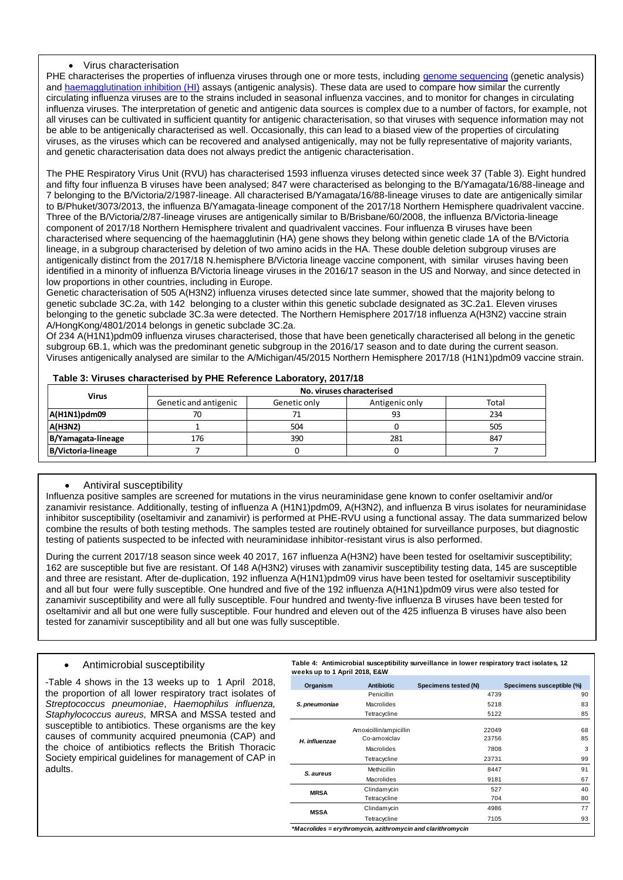#### Virus characterisation

PHE characterises the properties of influenza viruses through one or more tests, including [genome sequencing](http://www.cdc.gov/flu/professionals/laboratory/genetic-characterization.htm) (genetic analysis) and [haemagglutination inhibition \(HI\)](http://www.cdc.gov/flu/professionals/laboratory/antigenic.htm) assays (antigenic analysis). These data are used to compare how similar the currently circulating influenza viruses are to the strains included in seasonal influenza vaccines, and to monitor for changes in circulating influenza viruses. The interpretation of genetic and antigenic data sources is complex due to a number of factors, for example, not all viruses can be cultivated in sufficient quantity for antigenic characterisation, so that viruses with sequence information may not be able to be antigenically characterised as well. Occasionally, this can lead to a biased view of the properties of circulating viruses, as the viruses which can be recovered and analysed antigenically, may not be fully representative of majority variants, and genetic characterisation data does not always predict the antigenic characterisation.

The PHE Respiratory Virus Unit (RVU) has characterised 1593 influenza viruses detected since week 37 (Table 3). Eight hundred and fifty four influenza B viruses have been analysed; 847 were characterised as belonging to the B/Yamagata/16/88-lineage and 7 belonging to the B/Victoria/2/1987-lineage. All characterised B/Yamagata/16/88-lineage viruses to date are antigenically similar to B/Phuket/3073/2013, the influenza B/Yamagata-lineage component of the 2017/18 Northern Hemisphere quadrivalent vaccine. Three of the B/Victoria/2/87-lineage viruses are antigenically similar to B/Brisbane/60/2008, the influenza B/Victoria-lineage component of 2017/18 Northern Hemisphere trivalent and quadrivalent vaccines. Four influenza B viruses have been characterised where sequencing of the haemagglutinin (HA) gene shows they belong within genetic clade 1A of the B/Victoria lineage, in a subgroup characterised by deletion of two amino acids in the HA. These double deletion subgroup viruses are antigenically distinct from the 2017/18 N.hemisphere B/Victoria lineage vaccine component, with similar viruses having been identified in a minority of influenza B/Victoria lineage viruses in the 2016/17 season in the US and Norway, and since detected in low proportions in other countries, including in Europe.

Genetic characterisation of 505 A(H3N2) influenza viruses detected since late summer, showed that the majority belong to genetic subclade 3C.2a, with 142 belonging to a cluster within this genetic subclade designated as 3C.2a1. Eleven viruses belonging to the genetic subclade 3C.3a were detected. The Northern Hemisphere 2017/18 influenza A(H3N2) vaccine strain A/HongKong/4801/2014 belongs in genetic subclade 3C.2a.

Of 234 A(H1N1)pdm09 influenza viruses characterised, those that have been genetically characterised all belong in the genetic subgroup 6B.1, which was the predominant genetic subgroup in the 2016/17 season and to date during the current season. Viruses antigenically analysed are similar to the A/Michigan/45/2015 Northern Hemisphere 2017/18 (H1N1)pdm09 vaccine strain.

| <b>Virus</b>       | No. viruses characterised |              |                |       |  |  |  |  |  |  |
|--------------------|---------------------------|--------------|----------------|-------|--|--|--|--|--|--|
|                    | Genetic and antigenic     | Genetic only | Antigenic only | Total |  |  |  |  |  |  |
| A(H1N1)pdm09       | 70                        |              | 93             | 234   |  |  |  |  |  |  |
| <b>A(H3N2)</b>     |                           | 504          |                | 505   |  |  |  |  |  |  |
| B/Yamagata-lineage | 176                       | 390          | 281            | 847   |  |  |  |  |  |  |
| B/Victoria-lineage |                           |              |                |       |  |  |  |  |  |  |

#### **Table 3: Viruses characterised by PHE Reference Laboratory, 2017/18**

#### Antiviral susceptibility

Influenza positive samples are screened for mutations in the virus neuraminidase gene known to confer oseltamivir and/or zanamivir resistance. Additionally, testing of influenza A (H1N1)pdm09, A(H3N2), and influenza B virus isolates for neuraminidase inhibitor susceptibility (oseltamivir and zanamivir) is performed at PHE-RVU using a functional assay. The data summarized below combine the results of both testing methods. The samples tested are routinely obtained for surveillance purposes, but diagnostic testing of patients suspected to be infected with neuraminidase inhibitor-resistant virus is also performed.

During the current 2017/18 season since week 40 2017, 167 influenza A(H3N2) have been tested for oseltamivir susceptibility; 162 are susceptible but five are resistant. Of 148 A(H3N2) viruses with zanamivir susceptibility testing data, 145 are susceptible and three are resistant. After de-duplication, 192 influenza A(H1N1)pdm09 virus have been tested for oseltamivir susceptibility and all but four were fully susceptible. One hundred and five of the 192 influenza A(H1N1)pdm09 virus were also tested for zanamivir susceptibility and were all fully susceptible. Four hundred and twenty-five influenza B viruses have been tested for oseltamivir and all but one were fully susceptible. Four hundred and eleven out of the 425 influenza B viruses have also been tested for zanamivir susceptibility and all but one was fully susceptible.

#### Antimicrobial susceptibility

<span id="page-7-0"></span>-Table 4 shows in the 13 weeks up to 1 April 2018, the proportion of all lower respiratory tract isolates of *Streptococcus pneumoniae*, *Haemophilus influenza, Staphylococcus aureus,* MRSA and MSSA tested and susceptible to antibiotics. These organisms are the key causes of community acquired pneumonia (CAP) and the choice of antibiotics reflects the British Thoracic Society empirical guidelines for management of CAP in adults.

**Table 4: Antimicrobial susceptibility surveillance in lower respiratory tract isolates, 12 weeks up to 1 April 2018, E&W**

| Organism      | <b>Antibiotic</b>      | Specimens tested (N) | Specimens susceptible (%) |
|---------------|------------------------|----------------------|---------------------------|
|               | Penicillin             | 4739                 | 90                        |
| S. pneumoniae | Macrolides             | 5218                 | 83                        |
|               | Tetracycline           | 5122                 | 85                        |
|               | Amoxicillin/ampicillin | 22049                | 68                        |
| H. influenzae | Co-amoxiclav           | 23756                | 85                        |
|               | Macrolides             | 7808                 | 3                         |
|               | Tetracycline           | 23731                | 99                        |
| S. aureus     | Methicillin            | 8447                 | 91                        |
|               | Macrolides             | 9181                 | 67                        |
| <b>MRSA</b>   | Clindamycin            | 527                  | 40                        |
|               | Tetracycline           | 704                  | 80                        |
| <b>MSSA</b>   | Clindamycin            | 4986                 | 77                        |
|               | Tetracycline           | 7105                 | 93                        |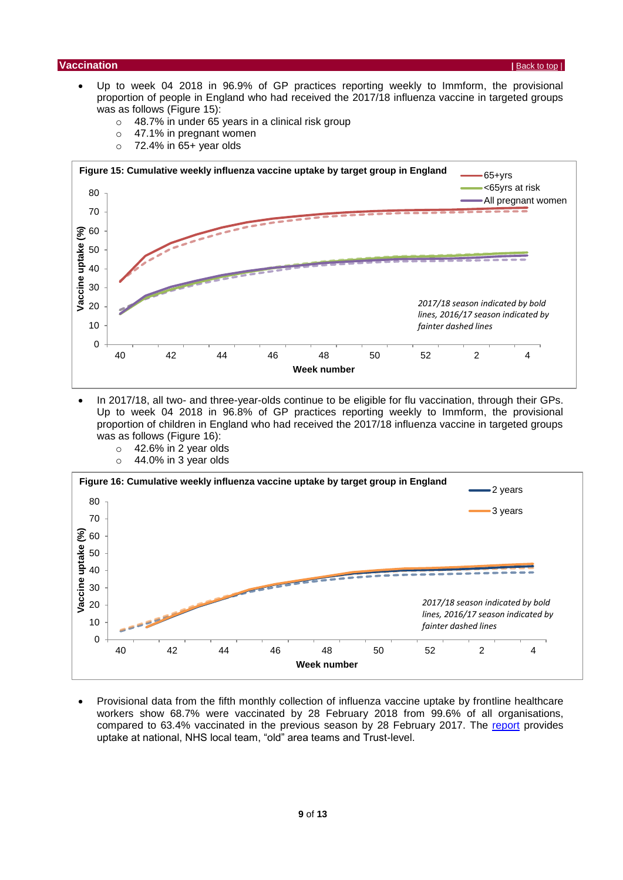#### **Vaccination |** [Back to top](#page-0-1) |

- Up to week 04 2018 in 96.9% of GP practices reporting weekly to Immform, the provisional proportion of people in England who had received the 2017/18 influenza vaccine in targeted groups was as follows (Figure 15):
	- $\circ$  48.7% in under 65 years in a clinical risk group
	- o 47.1% in pregnant women
	- $\circ$  72.4% in 65+ year olds



- In 2017/18, all two- and three-year-olds continue to be eligible for flu vaccination, through their GPs. Up to week 04 2018 in 96.8% of GP practices reporting weekly to Immform, the provisional proportion of children in England who had received the 2017/18 influenza vaccine in targeted groups was as follows (Figure 16):
	- $\circ$  42.6% in 2 year olds
	- $\circ$  44.0% in 3 year olds



 Provisional data from the fifth monthly collection of influenza vaccine uptake by frontline healthcare workers show 68.7% were vaccinated by 28 February 2018 from 99.6% of all organisations, compared to 63.4% vaccinated in the previous season by 28 February 2017. The [report](https://www.gov.uk/government/statistics/seasonal-flu-vaccine-uptake-in-healthcare-workers-monthly-data-2017-to-2018) provides uptake at national, NHS local team, "old" area teams and Trust-level.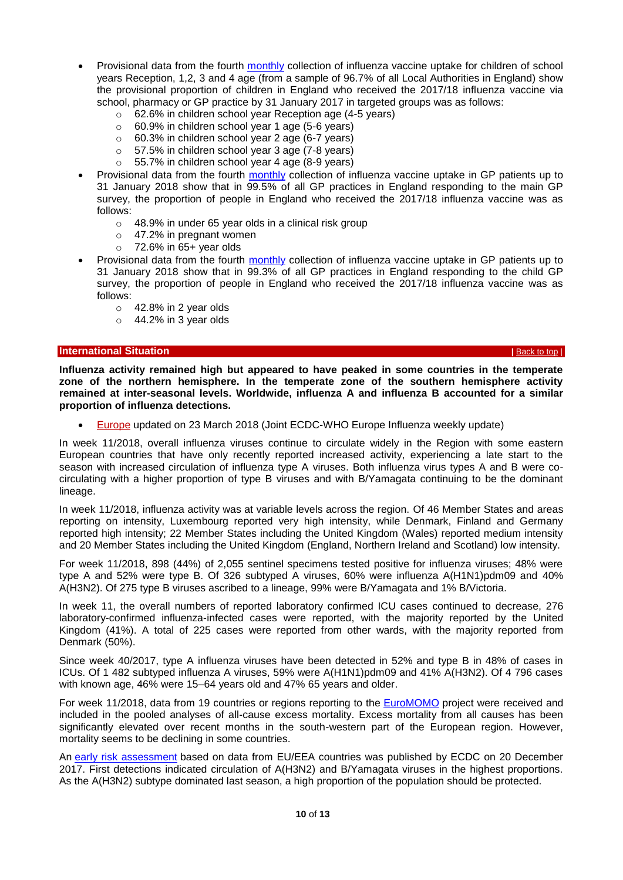- Provisional data from the fourth [monthly](https://www.gov.uk/government/statistics/seasonal-flu-vaccine-uptake-in-children-of-primary-school-age-monthly-data-2017-to-2018) collection of influenza vaccine uptake for children of school years Reception, 1,2, 3 and 4 age (from a sample of 96.7% of all Local Authorities in England) show the provisional proportion of children in England who received the 2017/18 influenza vaccine via school, pharmacy or GP practice by 31 January 2017 in targeted groups was as follows:
	- o 62.6% in children school year Reception age (4-5 years)
	- $\circ$  60.9% in children school year 1 age (5-6 years)
	- o 60.3% in children school year 2 age (6-7 years)
	- o 57.5% in children school year 3 age (7-8 years)
	- o 55.7% in children school year 4 age (8-9 years)
- Provisional data from the fourth [monthly](https://www.gov.uk/government/statistics/seasonal-flu-vaccine-uptake-in-gp-patients-monthly-data-2017-to-2018) collection of influenza vaccine uptake in GP patients up to 31 January 2018 show that in 99.5% of all GP practices in England responding to the main GP survey, the proportion of people in England who received the 2017/18 influenza vaccine was as follows:
	- o 48.9% in under 65 year olds in a clinical risk group
	- o 47.2% in pregnant women
	- $\circ$  72.6% in 65+ year olds
- Provisional data from the fourth [monthly](https://www.gov.uk/government/statistics/seasonal-flu-vaccine-uptake-in-gp-patients-monthly-data-2017-to-2018) collection of influenza vaccine uptake in GP patients up to 31 January 2018 show that in 99.3% of all GP practices in England responding to the child GP survey, the proportion of people in England who received the 2017/18 influenza vaccine was as follows:
	- $\circ$  42.8% in 2 year olds
	- $\circ$  44.2% in 3 year olds

#### <span id="page-9-0"></span>**| International Situation** *|* $\mathbf{B}$ **[Back to](#page-0-1) top | <b>Back to top |**  $\mathbf{B}$ Back to top |  $\mathbf{B}$

**Influenza activity remained high but appeared to have peaked in some countries in the temperate zone of the northern hemisphere. In the temperate zone of the southern hemisphere activity remained at inter-seasonal levels. Worldwide, influenza A and influenza B accounted for a similar proportion of influenza detections.**

[Europe](http://flunewseurope.org/) updated on 23 March 2018 (Joint ECDC-WHO Europe Influenza weekly update)

In week 11/2018, overall influenza viruses continue to circulate widely in the Region with some eastern European countries that have only recently reported increased activity, experiencing a late start to the season with increased circulation of influenza type A viruses. Both influenza virus types A and B were cocirculating with a higher proportion of type B viruses and with B/Yamagata continuing to be the dominant lineage.

In week 11/2018, influenza activity was at variable levels across the region. Of 46 Member States and areas reporting on intensity, Luxembourg reported very high intensity, while Denmark, Finland and Germany reported high intensity; 22 Member States including the United Kingdom (Wales) reported medium intensity and 20 Member States including the United Kingdom (England, Northern Ireland and Scotland) low intensity.

For week 11/2018, 898 (44%) of 2,055 sentinel specimens tested positive for influenza viruses; 48% were type A and 52% were type B. Of 326 subtyped A viruses, 60% were influenza A(H1N1)pdm09 and 40% A(H3N2). Of 275 type B viruses ascribed to a lineage, 99% were B/Yamagata and 1% B/Victoria.

In week 11, the overall numbers of reported laboratory confirmed ICU cases continued to decrease, 276 laboratory-confirmed influenza-infected cases were reported, with the majority reported by the United Kingdom (41%). A total of 225 cases were reported from other wards, with the majority reported from Denmark (50%).

Since week 40/2017, type A influenza viruses have been detected in 52% and type B in 48% of cases in ICUs. Of 1 482 subtyped influenza A viruses, 59% were A(H1N1)pdm09 and 41% A(H3N2). Of 4 796 cases with known age, 46% were 15–64 years old and 47% 65 years and older.

For week 11/2018, data from 19 countries or regions reporting to the [EuroMOMO](http://www.euromomo.eu/) project were received and included in the pooled analyses of all-cause excess mortality. Excess mortality from all causes has been significantly elevated over recent months in the south-western part of the European region. However, mortality seems to be declining in some countries.

An [early risk assessment](https://ecdc.europa.eu/en/publications-data/risk-assessment-seasonal-influenza-eueea-2017-2018) based on data from EU/EEA countries was published by ECDC on 20 December 2017. First detections indicated circulation of A(H3N2) and B/Yamagata viruses in the highest proportions. As the A(H3N2) subtype dominated last season, a high proportion of the population should be protected.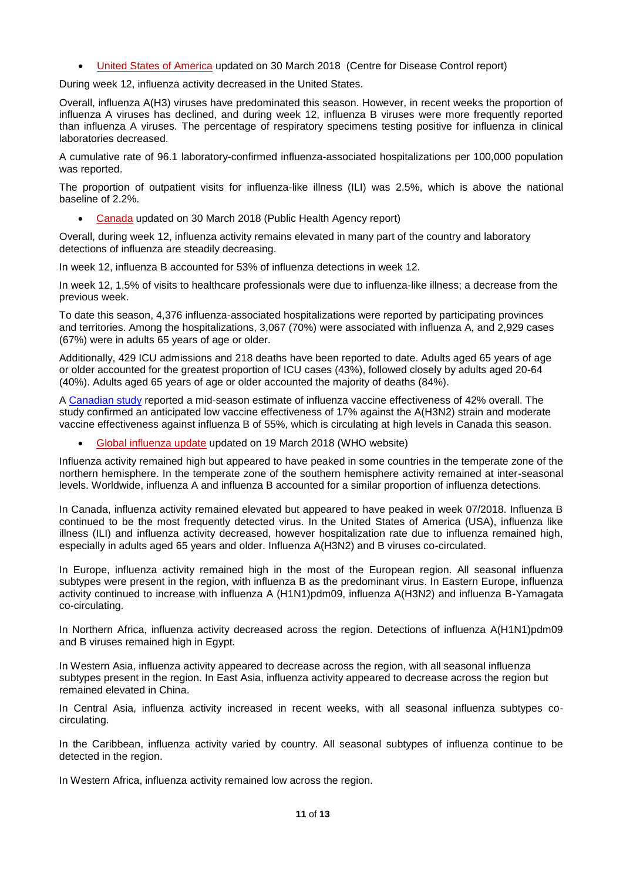[United States of America](http://www.cdc.gov/flu/weekly/) updated on 30 March 2018 (Centre for Disease Control report)

During week 12, influenza activity decreased in the United States.

Overall, influenza A(H3) viruses have predominated this season. However, in recent weeks the proportion of influenza A viruses has declined, and during week 12, influenza B viruses were more frequently reported than influenza A viruses. The percentage of respiratory specimens testing positive for influenza in clinical laboratories decreased.

A cumulative rate of 96.1 laboratory-confirmed influenza-associated hospitalizations per 100,000 population was reported.

The proportion of outpatient visits for influenza-like illness (ILI) was 2.5%, which is above the national baseline of 2.2%.

[Canada](http://healthycanadians.gc.ca/diseases-conditions-maladies-affections/disease-maladie/flu-grippe/surveillance/fluwatch-reports-rapports-surveillance-influenza-eng.php) updated on 30 March 2018 (Public Health Agency report)

Overall, during week 12, influenza activity remains elevated in many part of the country and laboratory detections of influenza are steadily decreasing.

In week 12, influenza B accounted for 53% of influenza detections in week 12.

In week 12, 1.5% of visits to healthcare professionals were due to influenza-like illness; a decrease from the previous week.

To date this season, 4,376 influenza-associated hospitalizations were reported by participating provinces and territories. Among the hospitalizations, 3,067 (70%) were associated with influenza A, and 2,929 cases (67%) were in adults 65 years of age or older.

Additionally, 429 ICU admissions and 218 deaths have been reported to date. Adults aged 65 years of age or older accounted for the greatest proportion of ICU cases (43%), followed closely by adults aged 20-64 (40%). Adults aged 65 years of age or older accounted the majority of deaths (84%).

A [Canadian study](http://www.eurosurveillance.org/content/10.2807/1560-7917.ES.2018.23.5.18-00035) reported a mid-season estimate of influenza vaccine effectiveness of 42% overall. The study confirmed an anticipated low vaccine effectiveness of 17% against the A(H3N2) strain and moderate vaccine effectiveness against influenza B of 55%, which is circulating at high levels in Canada this season.

[Global influenza update](http://www.who.int/influenza/surveillance_monitoring/updates/latest_update_GIP_surveillance/en/index.html) updated on 19 March 2018 (WHO website)

Influenza activity remained high but appeared to have peaked in some countries in the temperate zone of the northern hemisphere. In the temperate zone of the southern hemisphere activity remained at inter-seasonal levels. Worldwide, influenza A and influenza B accounted for a similar proportion of influenza detections.

In Canada, influenza activity remained elevated but appeared to have peaked in week 07/2018. Influenza B continued to be the most frequently detected virus. In the United States of America (USA), influenza like illness (ILI) and influenza activity decreased, however hospitalization rate due to influenza remained high, especially in adults aged 65 years and older. Influenza A(H3N2) and B viruses co-circulated.

In Europe, influenza activity remained high in the most of the European region. All seasonal influenza subtypes were present in the region, with influenza B as the predominant virus. In Eastern Europe, influenza activity continued to increase with influenza A (H1N1)pdm09, influenza A(H3N2) and influenza B-Yamagata co-circulating.

In Northern Africa, influenza activity decreased across the region. Detections of influenza A(H1N1)pdm09 and B viruses remained high in Egypt.

In Western Asia, influenza activity appeared to decrease across the region, with all seasonal influenza subtypes present in the region. In East Asia, influenza activity appeared to decrease across the region but remained elevated in China.

In Central Asia, influenza activity increased in recent weeks, with all seasonal influenza subtypes cocirculating.

In the Caribbean, influenza activity varied by country. All seasonal subtypes of influenza continue to be detected in the region.

In Western Africa, influenza activity remained low across the region.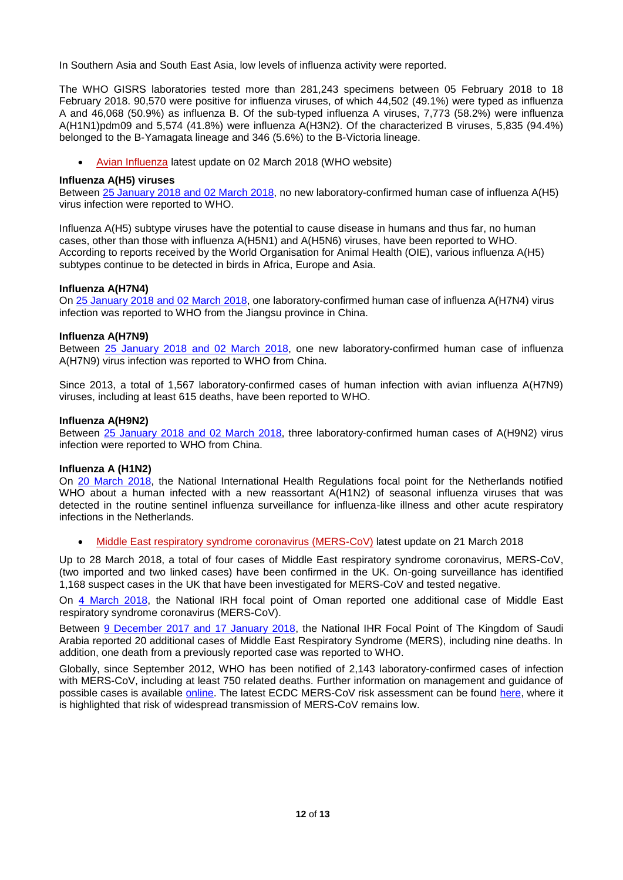In Southern Asia and South East Asia, low levels of influenza activity were reported.

The WHO GISRS laboratories tested more than 281,243 specimens between 05 February 2018 to 18 February 2018. 90,570 were positive for influenza viruses, of which 44,502 (49.1%) were typed as influenza A and 46,068 (50.9%) as influenza B. Of the sub-typed influenza A viruses, 7,773 (58.2%) were influenza A(H1N1)pdm09 and 5,574 (41.8%) were influenza A(H3N2). Of the characterized B viruses, 5,835 (94.4%) belonged to the B-Yamagata lineage and 346 (5.6%) to the B-Victoria lineage.

[Avian Influenza](http://www.who.int/csr/disease/avian_influenza/en/) latest update on 02 March 2018 (WHO website)

#### **Influenza A(H5) viruses**

Between [25 January 2018](http://www.who.int/influenza/human_animal_interface/Influenza_Summary_IRA_HA_interface_02_03_2018.pdf?ua=1) and 02 [March](http://www.who.int/influenza/human_animal_interface/Influenza_Summary_IRA_HA_interface_02_03_2018.pdf?ua=1) 2018, no new laboratory-confirmed human case of influenza A(H5) virus infection were reported to WHO.

Influenza A(H5) subtype viruses have the potential to cause disease in humans and thus far, no human cases, other than those with influenza A(H5N1) and A(H5N6) viruses, have been reported to WHO. According to reports received by the World Organisation for Animal Health (OIE), various influenza A(H5) subtypes continue to be detected in birds in Africa, Europe and Asia.

#### **Influenza A(H7N4)**

On [25 January 2018](http://www.who.int/influenza/human_animal_interface/Influenza_Summary_IRA_HA_interface_02_03_2018.pdf?ua=1) and 02 [March](http://www.who.int/influenza/human_animal_interface/Influenza_Summary_IRA_HA_interface_02_03_2018.pdf?ua=1) 2018, one laboratory-confirmed human case of influenza A(H7N4) virus infection was reported to WHO from the Jiangsu province in China.

#### **Influenza A(H7N9)**

Between [25 January 2018](http://www.who.int/influenza/human_animal_interface/Influenza_Summary_IRA_HA_interface_02_03_2018.pdf?ua=1) and 02 [March](http://www.who.int/influenza/human_animal_interface/Influenza_Summary_IRA_HA_interface_02_03_2018.pdf?ua=1) 2018, one new laboratory-confirmed human case of influenza A(H7N9) virus infection was reported to WHO from China.

Since 2013, a total of 1,567 laboratory-confirmed cases of human infection with avian influenza A(H7N9) viruses, including at least 615 deaths, have been reported to WHO.

#### **Influenza A(H9N2)**

Between [25 January 2018](http://www.who.int/influenza/human_animal_interface/Influenza_Summary_IRA_HA_interface_02_03_2018.pdf?ua=1) and 02 [March](http://www.who.int/influenza/human_animal_interface/Influenza_Summary_IRA_HA_interface_02_03_2018.pdf?ua=1) 2018, three laboratory-confirmed human cases of A(H9N2) virus infection were reported to WHO from China.

#### **Influenza A (H1N2)**

On [20 March 2018,](http://www.who.int/csr/don/23-march-2018-seasonal-reassortant-ah1n2-netherlands/en/) the National International Health Regulations focal point for the Netherlands notified WHO about a human infected with a new reassortant A(H1N2) of seasonal influenza viruses that was detected in the routine sentinel influenza surveillance for influenza-like illness and other acute respiratory infections in the Netherlands.

[Middle East respiratory syndrome coronavirus \(MERS-CoV\)](http://www.who.int/emergencies/mers-cov/en/) latest update on 21 March 2018

Up to 28 March 2018, a total of four cases of Middle East respiratory syndrome coronavirus, MERS-CoV, (two imported and two linked cases) have been confirmed in the UK. On-going surveillance has identified 1,168 suspect cases in the UK that have been investigated for MERS-CoV and tested negative.

On [4 March 2018,](http://www.who.int/csr/don/15-march-2018-mers-oman/en/) the National IRH focal point of Oman reported one additional case of Middle East respiratory syndrome coronavirus (MERS-CoV).

Between [9 December 2017 and 17 January 2018,](http://www.who.int/csr/don/26-january-2018-mers-saudi-arabia/en/) the National IHR Focal Point of The Kingdom of Saudi Arabia reported 20 additional cases of Middle East Respiratory Syndrome (MERS), including nine deaths. In addition, one death from a previously reported case was reported to WHO.

Globally, since September 2012, WHO has been notified of 2,143 laboratory-confirmed cases of infection with MERS-CoV, including at least 750 related deaths. Further information on management and guidance of possible cases is available [online.](https://www.gov.uk/government/publications/mers-cov-public-health-investigation-and-management-of-possible-cases) The latest ECDC MERS-CoV risk assessment can be found [here,](http://ecdc.europa.eu/en/publications/Publications/MERS-rapid-risk-assessment-update-october-2015.pdf) where it is highlighted that risk of widespread transmission of MERS-CoV remains low.